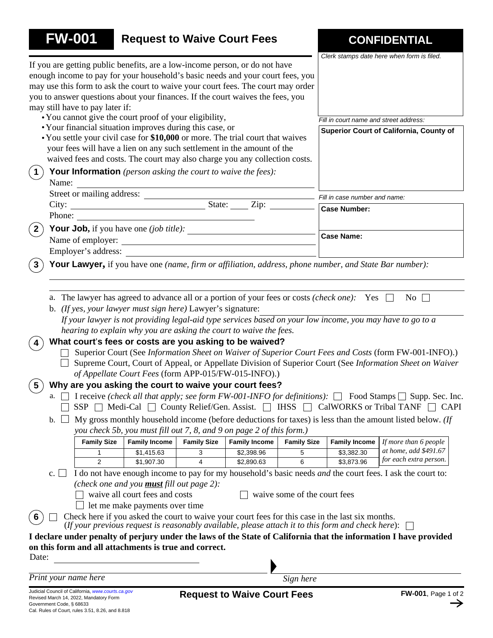| <b>FW-001</b>                                                                                                                                                                                                                                                                                                                                                                                                                                                                                                                                                                                                                                  |                                 |                                                                                     |                    | <b>Request to Waive Court Fees</b>                                                                                                                                                                                                                                                                                                              |                               |                                                                                                                                                                                                                    | <b>CONFIDENTIAL</b><br>Clerk stamps date here when form is filed.                                                                                                                                                                                                                                                                                                                                                                                                                                                                                                                                                            |
|------------------------------------------------------------------------------------------------------------------------------------------------------------------------------------------------------------------------------------------------------------------------------------------------------------------------------------------------------------------------------------------------------------------------------------------------------------------------------------------------------------------------------------------------------------------------------------------------------------------------------------------------|---------------------------------|-------------------------------------------------------------------------------------|--------------------|-------------------------------------------------------------------------------------------------------------------------------------------------------------------------------------------------------------------------------------------------------------------------------------------------------------------------------------------------|-------------------------------|--------------------------------------------------------------------------------------------------------------------------------------------------------------------------------------------------------------------|------------------------------------------------------------------------------------------------------------------------------------------------------------------------------------------------------------------------------------------------------------------------------------------------------------------------------------------------------------------------------------------------------------------------------------------------------------------------------------------------------------------------------------------------------------------------------------------------------------------------------|
|                                                                                                                                                                                                                                                                                                                                                                                                                                                                                                                                                                                                                                                | may still have to pay later if: |                                                                                     |                    | If you are getting public benefits, are a low-income person, or do not have<br>enough income to pay for your household's basic needs and your court fees, you<br>may use this form to ask the court to waive your court fees. The court may order<br>you to answer questions about your finances. If the court waives the fees, you             |                               |                                                                                                                                                                                                                    |                                                                                                                                                                                                                                                                                                                                                                                                                                                                                                                                                                                                                              |
|                                                                                                                                                                                                                                                                                                                                                                                                                                                                                                                                                                                                                                                |                                 | • You cannot give the court proof of your eligibility,                              |                    |                                                                                                                                                                                                                                                                                                                                                 |                               | Fill in court name and street address:                                                                                                                                                                             |                                                                                                                                                                                                                                                                                                                                                                                                                                                                                                                                                                                                                              |
|                                                                                                                                                                                                                                                                                                                                                                                                                                                                                                                                                                                                                                                |                                 | • Your financial situation improves during this case, or                            |                    | • You settle your civil case for \$10,000 or more. The trial court that waives<br>your fees will have a lien on any such settlement in the amount of the<br>waived fees and costs. The court may also charge you any collection costs.                                                                                                          |                               |                                                                                                                                                                                                                    | Superior Court of California, County of                                                                                                                                                                                                                                                                                                                                                                                                                                                                                                                                                                                      |
| $\vert$ 1<br>Name:                                                                                                                                                                                                                                                                                                                                                                                                                                                                                                                                                                                                                             |                                 | <b>Your Information</b> (person asking the court to waive the fees):                |                    |                                                                                                                                                                                                                                                                                                                                                 |                               |                                                                                                                                                                                                                    |                                                                                                                                                                                                                                                                                                                                                                                                                                                                                                                                                                                                                              |
|                                                                                                                                                                                                                                                                                                                                                                                                                                                                                                                                                                                                                                                |                                 |                                                                                     |                    |                                                                                                                                                                                                                                                                                                                                                 | Fill in case number and name: |                                                                                                                                                                                                                    |                                                                                                                                                                                                                                                                                                                                                                                                                                                                                                                                                                                                                              |
|                                                                                                                                                                                                                                                                                                                                                                                                                                                                                                                                                                                                                                                |                                 |                                                                                     |                    |                                                                                                                                                                                                                                                                                                                                                 |                               | <b>Case Number:</b>                                                                                                                                                                                                |                                                                                                                                                                                                                                                                                                                                                                                                                                                                                                                                                                                                                              |
| Phone:                                                                                                                                                                                                                                                                                                                                                                                                                                                                                                                                                                                                                                         |                                 |                                                                                     |                    |                                                                                                                                                                                                                                                                                                                                                 |                               |                                                                                                                                                                                                                    |                                                                                                                                                                                                                                                                                                                                                                                                                                                                                                                                                                                                                              |
|                                                                                                                                                                                                                                                                                                                                                                                                                                                                                                                                                                                                                                                |                                 |                                                                                     |                    | <b>Your Job,</b> if you have one (job title): $\frac{1}{1}$                                                                                                                                                                                                                                                                                     |                               | <b>Case Name:</b>                                                                                                                                                                                                  |                                                                                                                                                                                                                                                                                                                                                                                                                                                                                                                                                                                                                              |
|                                                                                                                                                                                                                                                                                                                                                                                                                                                                                                                                                                                                                                                |                                 |                                                                                     |                    | Name of employer:                                                                                                                                                                                                                                                                                                                               |                               |                                                                                                                                                                                                                    |                                                                                                                                                                                                                                                                                                                                                                                                                                                                                                                                                                                                                              |
|                                                                                                                                                                                                                                                                                                                                                                                                                                                                                                                                                                                                                                                | Employer's address:             |                                                                                     |                    |                                                                                                                                                                                                                                                                                                                                                 |                               |                                                                                                                                                                                                                    |                                                                                                                                                                                                                                                                                                                                                                                                                                                                                                                                                                                                                              |
|                                                                                                                                                                                                                                                                                                                                                                                                                                                                                                                                                                                                                                                |                                 |                                                                                     |                    |                                                                                                                                                                                                                                                                                                                                                 |                               | Your Lawyer, if you have one (name, firm or affiliation, address, phone number, and State Bar number):                                                                                                             |                                                                                                                                                                                                                                                                                                                                                                                                                                                                                                                                                                                                                              |
| b.                                                                                                                                                                                                                                                                                                                                                                                                                                                                                                                                                                                                                                             | <b>Family Size</b>              | b. (If yes, your lawyer must sign here) Lawyer's signature:<br><b>Family Income</b> | <b>Family Size</b> | hearing to explain why you are asking the court to waive the fees.<br>What court's fees or costs are you asking to be waived?<br>of Appellate Court Fees (form APP-015/FW-015-INFO).)<br>Why are you asking the court to waive your court fees?<br>you check 5b, you must fill out 7, 8, and 9 on page 2 of this form.)<br><b>Family Income</b> | <b>Family Size</b>            | a. The lawyer has agreed to advance all or a portion of your fees or costs <i>(check one)</i> : Yes $\Box$<br>SSP   Medi-Cal   County Relief/Gen. Assist.   IHSS   CalWORKS or Tribal TANF<br><b>Family Income</b> | $\overline{N_0}$<br>If your lawyer is not providing legal-aid type services based on your low income, you may have to go to a<br>Superior Court (See Information Sheet on Waiver of Superior Court Fees and Costs (form FW-001-INFO).)<br>Supreme Court, Court of Appeal, or Appellate Division of Superior Court (See Information Sheet on Waiver<br>I receive (check all that apply; see form FW-001-INFO for definitions): $\Box$ Food Stamps $\Box$ Supp. Sec. Inc.<br>$\Box$ CAPI<br>My gross monthly household income (before deductions for taxes) is less than the amount listed below. (If<br>If more than 6 people |
|                                                                                                                                                                                                                                                                                                                                                                                                                                                                                                                                                                                                                                                | 1                               | \$1,415.63                                                                          | 3                  | \$2,398.96                                                                                                                                                                                                                                                                                                                                      | 5                             | \$3,382.30                                                                                                                                                                                                         | at home, add \$491.67                                                                                                                                                                                                                                                                                                                                                                                                                                                                                                                                                                                                        |
|                                                                                                                                                                                                                                                                                                                                                                                                                                                                                                                                                                                                                                                | $\overline{2}$                  | \$1,907.30                                                                          | 4                  | \$2,890.63                                                                                                                                                                                                                                                                                                                                      | 6                             | \$3,873.96                                                                                                                                                                                                         | for each extra person.                                                                                                                                                                                                                                                                                                                                                                                                                                                                                                                                                                                                       |
| I do not have enough income to pay for my household's basic needs and the court fees. I ask the court to:<br>$\mathbf{c}$ . $\Box$<br>(check one and you <b>must</b> fill out page $2$ ):<br>waive all court fees and costs<br>waive some of the court fees<br>$\Box$ let me make payments over time<br>Check here if you asked the court to waive your court fees for this case in the last six months.<br>6<br>(If your previous request is reasonably available, please attach it to this form and check here): $\Box$<br>I declare under penalty of perjury under the laws of the State of California that the information I have provided |                                 |                                                                                     |                    |                                                                                                                                                                                                                                                                                                                                                 |                               |                                                                                                                                                                                                                    |                                                                                                                                                                                                                                                                                                                                                                                                                                                                                                                                                                                                                              |
|                                                                                                                                                                                                                                                                                                                                                                                                                                                                                                                                                                                                                                                |                                 | on this form and all attachments is true and correct.                               |                    |                                                                                                                                                                                                                                                                                                                                                 |                               |                                                                                                                                                                                                                    |                                                                                                                                                                                                                                                                                                                                                                                                                                                                                                                                                                                                                              |
| Date:                                                                                                                                                                                                                                                                                                                                                                                                                                                                                                                                                                                                                                          |                                 |                                                                                     |                    |                                                                                                                                                                                                                                                                                                                                                 |                               |                                                                                                                                                                                                                    |                                                                                                                                                                                                                                                                                                                                                                                                                                                                                                                                                                                                                              |
| Print your name here                                                                                                                                                                                                                                                                                                                                                                                                                                                                                                                                                                                                                           |                                 |                                                                                     |                    |                                                                                                                                                                                                                                                                                                                                                 | Sign here                     |                                                                                                                                                                                                                    |                                                                                                                                                                                                                                                                                                                                                                                                                                                                                                                                                                                                                              |